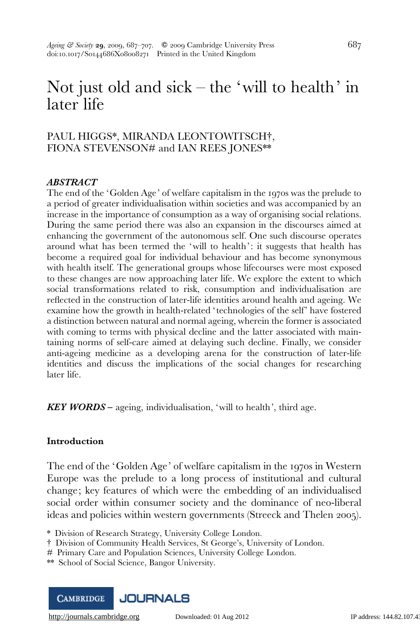# Not just old and  $sick$  – the 'will to health' in later life

# PAUL HIGGS\*, MIRANDA LEONTOWITSCH†, FIONA STEVENSON# and IAN REES JONES\*\*

### ABSTRACT

The end of the 'Golden Age' of welfare capitalism in the 1970s was the prelude to a period of greater individualisation within societies and was accompanied by an increase in the importance of consumption as a way of organising social relations. During the same period there was also an expansion in the discourses aimed at enhancing the government of the autonomous self. One such discourse operates around what has been termed the 'will to health': it suggests that health has become a required goal for individual behaviour and has become synonymous with health itself. The generational groups whose lifecourses were most exposed to these changes are now approaching later life. We explore the extent to which social transformations related to risk, consumption and individualisation are reflected in the construction of later-life identities around health and ageing. We examine how the growth in health-related 'technologies of the self' have fostered a distinction between natural and normal ageing, wherein the former is associated with coming to terms with physical decline and the latter associated with maintaining norms of self-care aimed at delaying such decline. Finally, we consider anti-ageing medicine as a developing arena for the construction of later-life identities and discuss the implications of the social changes for researching later life.

**KEY WORDS** – ageing, individualisation, 'will to health', third age.

### Introduction

The end of the 'Golden Age' of welfare capitalism in the 1970s in Western Europe was the prelude to a long process of institutional and cultural change; key features of which were the embedding of an individualised social order within consumer society and the dominance of neo-liberal ideas and policies within western governments (Streeck and Thelen 2005).

\*\* School of Social Science, Bangor University.



<sup>\*</sup> Division of Research Strategy, University College London.

<sup>#</sup> Division of Community Health Services, St George's, University of London.

<sup>#</sup> Primary Care and Population Sciences, University College London.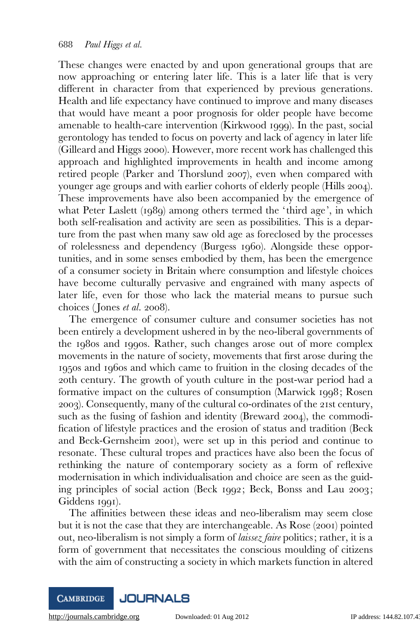These changes were enacted by and upon generational groups that are now approaching or entering later life. This is a later life that is very different in character from that experienced by previous generations. Health and life expectancy have continued to improve and many diseases that would have meant a poor prognosis for older people have become amenable to health-care intervention (Kirkwood 1999). In the past, social gerontology has tended to focus on poverty and lack of agency in later life (Gilleard and Higgs 2000). However, more recent work has challenged this approach and highlighted improvements in health and income among retired people (Parker and Thorslund 2007), even when compared with younger age groups and with earlier cohorts of elderly people (Hills 2004). These improvements have also been accompanied by the emergence of what Peter Laslett (1989) among others termed the 'third age', in which both self-realisation and activity are seen as possibilities. This is a departure from the past when many saw old age as foreclosed by the processes of rolelessness and dependency (Burgess 1960). Alongside these opportunities, and in some senses embodied by them, has been the emergence of a consumer society in Britain where consumption and lifestyle choices have become culturally pervasive and engrained with many aspects of later life, even for those who lack the material means to pursue such choices ( Jones et al. 2008).

The emergence of consumer culture and consumer societies has not been entirely a development ushered in by the neo-liberal governments of the 1980s and 1990s. Rather, such changes arose out of more complex movements in the nature of society, movements that first arose during the 1950s and 1960s and which came to fruition in the closing decades of the 20th century. The growth of youth culture in the post-war period had a formative impact on the cultures of consumption (Marwick 1998; Rosen 2003). Consequently, many of the cultural co-ordinates of the 21st century, such as the fusing of fashion and identity (Breward 2004), the commodification of lifestyle practices and the erosion of status and tradition (Beck and Beck-Gernsheim 2001), were set up in this period and continue to resonate. These cultural tropes and practices have also been the focus of rethinking the nature of contemporary society as a form of reflexive modernisation in which individualisation and choice are seen as the guiding principles of social action (Beck 1992; Beck, Bonss and Lau 2003; Giddens 1991).

The affinities between these ideas and neo-liberalism may seem close but it is not the case that they are interchangeable. As Rose (2001) pointed out, neo-liberalism is not simply a form of laissez faire politics; rather, it is a form of government that necessitates the conscious moulding of citizens with the aim of constructing a society in which markets function in altered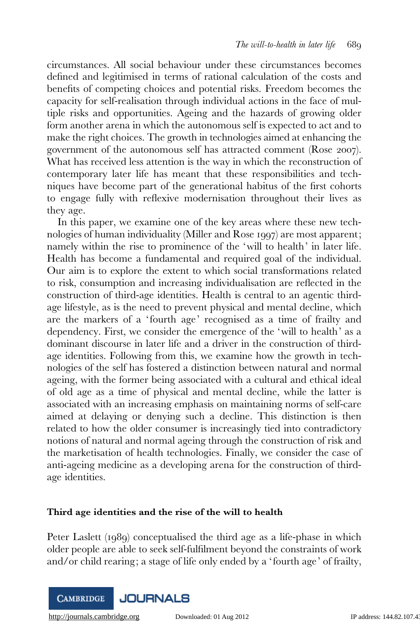circumstances. All social behaviour under these circumstances becomes defined and legitimised in terms of rational calculation of the costs and benefits of competing choices and potential risks. Freedom becomes the capacity for self-realisation through individual actions in the face of multiple risks and opportunities. Ageing and the hazards of growing older form another arena in which the autonomous self is expected to act and to make the right choices. The growth in technologies aimed at enhancing the government of the autonomous self has attracted comment (Rose 2007). What has received less attention is the way in which the reconstruction of contemporary later life has meant that these responsibilities and techniques have become part of the generational habitus of the first cohorts to engage fully with reflexive modernisation throughout their lives as they age.

In this paper, we examine one of the key areas where these new technologies of human individuality (Miller and Rose 1997) are most apparent; namely within the rise to prominence of the 'will to health' in later life. Health has become a fundamental and required goal of the individual. Our aim is to explore the extent to which social transformations related to risk, consumption and increasing individualisation are reflected in the construction of third-age identities. Health is central to an agentic thirdage lifestyle, as is the need to prevent physical and mental decline, which are the markers of a 'fourth age' recognised as a time of frailty and dependency. First, we consider the emergence of the 'will to health' as a dominant discourse in later life and a driver in the construction of thirdage identities. Following from this, we examine how the growth in technologies of the self has fostered a distinction between natural and normal ageing, with the former being associated with a cultural and ethical ideal of old age as a time of physical and mental decline, while the latter is associated with an increasing emphasis on maintaining norms of self-care aimed at delaying or denying such a decline. This distinction is then related to how the older consumer is increasingly tied into contradictory notions of natural and normal ageing through the construction of risk and the marketisation of health technologies. Finally, we consider the case of anti-ageing medicine as a developing arena for the construction of thirdage identities.

### Third age identities and the rise of the will to health

Peter Laslett (1989) conceptualised the third age as a life-phase in which older people are able to seek self-fulfilment beyond the constraints of work and/or child rearing; a stage of life only ended by a 'fourth age' of frailty,



<http://journals.cambridge.org> Downloaded: 01 Aug 2012 IP address: 144.82.107.43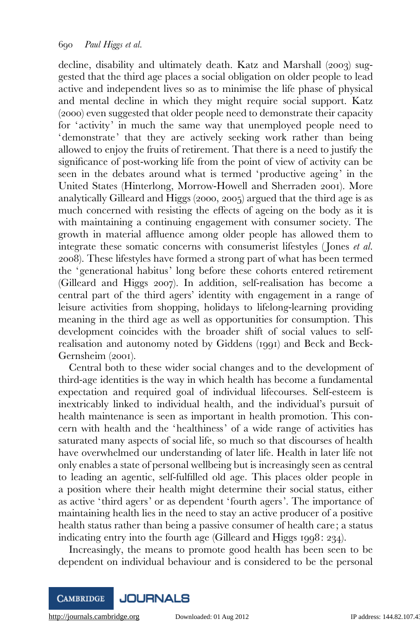decline, disability and ultimately death. Katz and Marshall (2003) suggested that the third age places a social obligation on older people to lead active and independent lives so as to minimise the life phase of physical and mental decline in which they might require social support. Katz (2000) even suggested that older people need to demonstrate their capacity for 'activity' in much the same way that unemployed people need to 'demonstrate' that they are actively seeking work rather than being allowed to enjoy the fruits of retirement. That there is a need to justify the significance of post-working life from the point of view of activity can be seen in the debates around what is termed 'productive ageing' in the United States (Hinterlong, Morrow-Howell and Sherraden 2001). More analytically Gilleard and Higgs (2000, 2005) argued that the third age is as much concerned with resisting the effects of ageing on the body as it is with maintaining a continuing engagement with consumer society. The growth in material affluence among older people has allowed them to integrate these somatic concerns with consumerist lifestyles (Jones *et al.*) 2008). These lifestyles have formed a strong part of what has been termed the 'generational habitus' long before these cohorts entered retirement (Gilleard and Higgs 2007). In addition, self-realisation has become a central part of the third agers' identity with engagement in a range of leisure activities from shopping, holidays to lifelong-learning providing meaning in the third age as well as opportunities for consumption. This development coincides with the broader shift of social values to selfrealisation and autonomy noted by Giddens (1991) and Beck and Beck-Gernsheim (2001).

Central both to these wider social changes and to the development of third-age identities is the way in which health has become a fundamental expectation and required goal of individual lifecourses. Self-esteem is inextricably linked to individual health, and the individual's pursuit of health maintenance is seen as important in health promotion. This concern with health and the 'healthiness' of a wide range of activities has saturated many aspects of social life, so much so that discourses of health have overwhelmed our understanding of later life. Health in later life not only enables a state of personal wellbeing but is increasingly seen as central to leading an agentic, self-fulfilled old age. This places older people in a position where their health might determine their social status, either as active 'third agers' or as dependent 'fourth agers'. The importance of maintaining health lies in the need to stay an active producer of a positive health status rather than being a passive consumer of health care; a status indicating entry into the fourth age (Gilleard and Higgs 1998: 234).

Increasingly, the means to promote good health has been seen to be dependent on individual behaviour and is considered to be the personal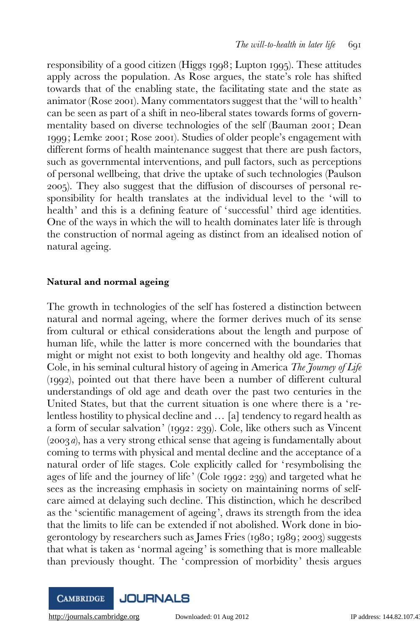responsibility of a good citizen (Higgs 1998; Lupton 1995). These attitudes apply across the population. As Rose argues, the state's role has shifted towards that of the enabling state, the facilitating state and the state as animator (Rose 2001). Many commentators suggest that the 'will to health' can be seen as part of a shift in neo-liberal states towards forms of governmentality based on diverse technologies of the self (Bauman 2001; Dean 1999; Lemke 2001; Rose 2001). Studies of older people's engagement with different forms of health maintenance suggest that there are push factors, such as governmental interventions, and pull factors, such as perceptions of personal wellbeing, that drive the uptake of such technologies (Paulson 2005). They also suggest that the diffusion of discourses of personal responsibility for health translates at the individual level to the 'will to health' and this is a defining feature of 'successful' third age identities. One of the ways in which the will to health dominates later life is through the construction of normal ageing as distinct from an idealised notion of natural ageing.

### Natural and normal ageing

The growth in technologies of the self has fostered a distinction between natural and normal ageing, where the former derives much of its sense from cultural or ethical considerations about the length and purpose of human life, while the latter is more concerned with the boundaries that might or might not exist to both longevity and healthy old age. Thomas Cole, in his seminal cultural history of ageing in America The Journey of Life (1992), pointed out that there have been a number of different cultural understandings of old age and death over the past two centuries in the United States, but that the current situation is one where there is a 'relentless hostility to physical decline and … [a] tendency to regard health as a form of secular salvation' (1992: 239). Cole, like others such as Vincent (2003a), has a very strong ethical sense that ageing is fundamentally about coming to terms with physical and mental decline and the acceptance of a natural order of life stages. Cole explicitly called for ' resymbolising the ages of life and the journey of life' (Cole 1992: 239) and targeted what he sees as the increasing emphasis in society on maintaining norms of selfcare aimed at delaying such decline. This distinction, which he described as the ' scientific management of ageing', draws its strength from the idea that the limits to life can be extended if not abolished. Work done in biogerontology by researchers such as James Fries (1980; 1989; 2003) suggests that what is taken as 'normal ageing' is something that is more malleable than previously thought. The 'compression of morbidity' thesis argues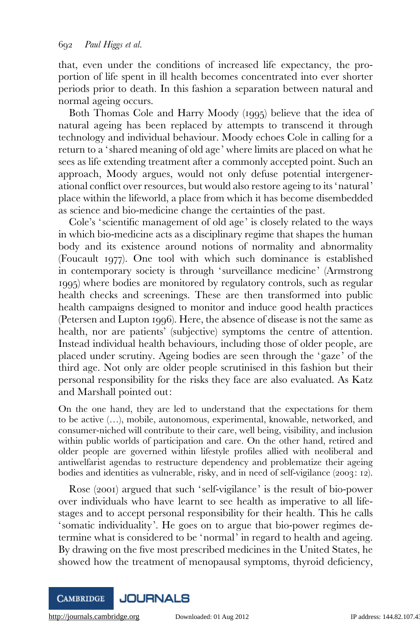that, even under the conditions of increased life expectancy, the proportion of life spent in ill health becomes concentrated into ever shorter periods prior to death. In this fashion a separation between natural and normal ageing occurs.

Both Thomas Cole and Harry Moody (1995) believe that the idea of natural ageing has been replaced by attempts to transcend it through technology and individual behaviour. Moody echoes Cole in calling for a return to a ' shared meaning of old age' where limits are placed on what he sees as life extending treatment after a commonly accepted point. Such an approach, Moody argues, would not only defuse potential intergenerational conflict over resources, but would also restore ageing to its 'natural' place within the lifeworld, a place from which it has become disembedded as science and bio-medicine change the certainties of the past.

Cole's ' scientific management of old age' is closely related to the ways in which bio-medicine acts as a disciplinary regime that shapes the human body and its existence around notions of normality and abnormality (Foucault 1977). One tool with which such dominance is established in contemporary society is through 'surveillance medicine' (Armstrong) 1995) where bodies are monitored by regulatory controls, such as regular health checks and screenings. These are then transformed into public health campaigns designed to monitor and induce good health practices (Petersen and Lupton 1996). Here, the absence of disease is not the same as health, nor are patients' (subjective) symptoms the centre of attention. Instead individual health behaviours, including those of older people, are placed under scrutiny. Ageing bodies are seen through the 'gaze' of the third age. Not only are older people scrutinised in this fashion but their personal responsibility for the risks they face are also evaluated. As Katz and Marshall pointed out:

On the one hand, they are led to understand that the expectations for them to be active (…), mobile, autonomous, experimental, knowable, networked, and consumer-niched will contribute to their care, well being, visibility, and inclusion within public worlds of participation and care. On the other hand, retired and older people are governed within lifestyle profiles allied with neoliberal and antiwelfarist agendas to restructure dependency and problematize their ageing bodies and identities as vulnerable, risky, and in need of self-vigilance (2003: 12).

Rose (2001) argued that such ' self-vigilance' is the result of bio-power over individuals who have learnt to see health as imperative to all lifestages and to accept personal responsibility for their health. This he calls ' somatic individuality'. He goes on to argue that bio-power regimes determine what is considered to be 'normal' in regard to health and ageing. By drawing on the five most prescribed medicines in the United States, he showed how the treatment of menopausal symptoms, thyroid deficiency,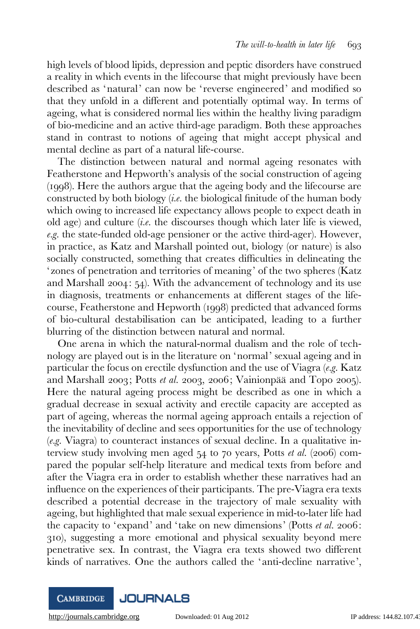high levels of blood lipids, depression and peptic disorders have construed a reality in which events in the lifecourse that might previously have been described as 'natural' can now be 'reverse engineered' and modified so that they unfold in a different and potentially optimal way. In terms of ageing, what is considered normal lies within the healthy living paradigm of bio-medicine and an active third-age paradigm. Both these approaches stand in contrast to notions of ageing that might accept physical and mental decline as part of a natural life-course.

The distinction between natural and normal ageing resonates with Featherstone and Hepworth's analysis of the social construction of ageing (1998). Here the authors argue that the ageing body and the lifecourse are constructed by both biology (i.e. the biological finitude of the human body which owing to increased life expectancy allows people to expect death in old age) and culture (i.e. the discourses though which later life is viewed, e.g. the state-funded old-age pensioner or the active third-ager). However, in practice, as Katz and Marshall pointed out, biology (or nature) is also socially constructed, something that creates difficulties in delineating the 'zones of penetration and territories of meaning' of the two spheres (Katz and Marshall 2004: 54). With the advancement of technology and its use in diagnosis, treatments or enhancements at different stages of the lifecourse, Featherstone and Hepworth (1998) predicted that advanced forms of bio-cultural destabilisation can be anticipated, leading to a further blurring of the distinction between natural and normal.

One arena in which the natural-normal dualism and the role of technology are played out is in the literature on 'normal' sexual ageing and in particular the focus on erectile dysfunction and the use of Viagra (e.g. Katz and Marshall 2003; Potts et al. 2003, 2006; Vainionpää and Topo 2005). Here the natural ageing process might be described as one in which a gradual decrease in sexual activity and erectile capacity are accepted as part of ageing, whereas the normal ageing approach entails a rejection of the inevitability of decline and sees opportunities for the use of technology  $(e.g.$  Viagra) to counteract instances of sexual decline. In a qualitative interview study involving men aged 54 to 70 years, Potts et al. (2006) compared the popular self-help literature and medical texts from before and after the Viagra era in order to establish whether these narratives had an influence on the experiences of their participants. The pre-Viagra era texts described a potential decrease in the trajectory of male sexuality with ageing, but highlighted that male sexual experience in mid-to-later life had the capacity to 'expand' and 'take on new dimensions' (Potts et al. 2006: 310), suggesting a more emotional and physical sexuality beyond mere penetrative sex. In contrast, the Viagra era texts showed two different kinds of narratives. One the authors called the 'anti-decline narrative',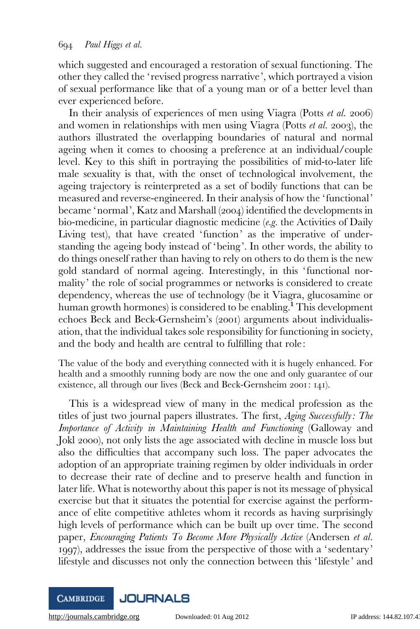which suggested and encouraged a restoration of sexual functioning. The other they called the ' revised progress narrative', which portrayed a vision of sexual performance like that of a young man or of a better level than ever experienced before.

In their analysis of experiences of men using Viagra (Potts *et al.* 2006) and women in relationships with men using Viagra (Potts et al. 2003), the authors illustrated the overlapping boundaries of natural and normal ageing when it comes to choosing a preference at an individual/couple level. Key to this shift in portraying the possibilities of mid-to-later life male sexuality is that, with the onset of technological involvement, the ageing trajectory is reinterpreted as a set of bodily functions that can be measured and reverse-engineered. In their analysis of how the 'functional' became 'normal', Katz and Marshall (2004) identified the developments in bio-medicine, in particular diagnostic medicine (e.g. the Activities of Daily Living test), that have created 'function' as the imperative of understanding the ageing body instead of 'being'. In other words, the ability to do things oneself rather than having to rely on others to do them is the new gold standard of normal ageing. Interestingly, in this 'functional normality' the role of social programmes or networks is considered to create dependency, whereas the use of technology (be it Viagra, glucosamine or human growth hormones) is considered to be enabling.<sup>1</sup> This development echoes Beck and Beck-Gernsheim's (2001) arguments about individualisation, that the individual takes sole responsibility for functioning in society, and the body and health are central to fulfilling that role:

The value of the body and everything connected with it is hugely enhanced. For health and a smoothly running body are now the one and only guarantee of our existence, all through our lives (Beck and Beck-Gernsheim 2001: 141).

This is a widespread view of many in the medical profession as the titles of just two journal papers illustrates. The first, Aging Successfully: The Importance of Activity in Maintaining Health and Functioning (Galloway and Jokl 2000), not only lists the age associated with decline in muscle loss but also the difficulties that accompany such loss. The paper advocates the adoption of an appropriate training regimen by older individuals in order to decrease their rate of decline and to preserve health and function in later life. What is noteworthy about this paper is not its message of physical exercise but that it situates the potential for exercise against the performance of elite competitive athletes whom it records as having surprisingly high levels of performance which can be built up over time. The second paper, Encouraging Patients To Become More Physically Active (Andersen et al. 1997), addresses the issue from the perspective of those with a ' sedentary' lifestyle and discusses not only the connection between this 'lifestyle' and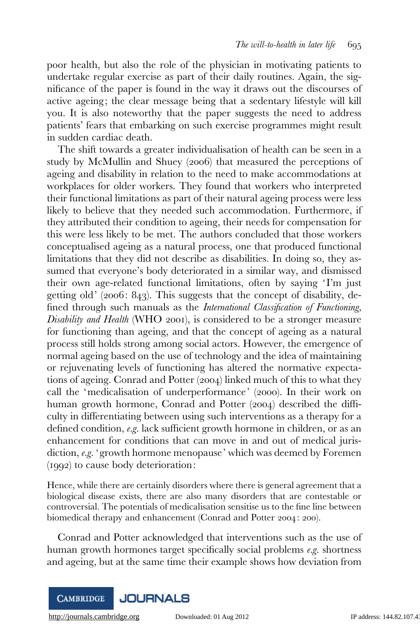poor health, but also the role of the physician in motivating patients to undertake regular exercise as part of their daily routines. Again, the significance of the paper is found in the way it draws out the discourses of active ageing; the clear message being that a sedentary lifestyle will kill you. It is also noteworthy that the paper suggests the need to address patients' fears that embarking on such exercise programmes might result in sudden cardiac death.

The shift towards a greater individualisation of health can be seen in a study by McMullin and Shuey (2006) that measured the perceptions of ageing and disability in relation to the need to make accommodations at workplaces for older workers. They found that workers who interpreted their functional limitations as part of their natural ageing process were less likely to believe that they needed such accommodation. Furthermore, if they attributed their condition to ageing, their needs for compensation for this were less likely to be met. The authors concluded that those workers conceptualised ageing as a natural process, one that produced functional limitations that they did not describe as disabilities. In doing so, they assumed that everyone's body deteriorated in a similar way, and dismissed their own age-related functional limitations, often by saying 'I'm just getting old' (2006: 843). This suggests that the concept of disability, defined through such manuals as the *International Classification of Functioning*, Disability and Health (WHO 2001), is considered to be a stronger measure for functioning than ageing, and that the concept of ageing as a natural process still holds strong among social actors. However, the emergence of normal ageing based on the use of technology and the idea of maintaining or rejuvenating levels of functioning has altered the normative expectations of ageing. Conrad and Potter (2004) linked much of this to what they call the 'medicalisation of underperformance' (2000). In their work on human growth hormone, Conrad and Potter (2004) described the difficulty in differentiating between using such interventions as a therapy for a defined condition, e.g. lack sufficient growth hormone in children, or as an enhancement for conditions that can move in and out of medical jurisdiction, e.g. 'growth hormone menopause' which was deemed by Foremen (1992) to cause body deterioration:

Hence, while there are certainly disorders where there is general agreement that a biological disease exists, there are also many disorders that are contestable or controversial. The potentials of medicalisation sensitise us to the fine line between biomedical therapy and enhancement (Conrad and Potter 2004: 200).

Conrad and Potter acknowledged that interventions such as the use of human growth hormones target specifically social problems e.g. shortness and ageing, but at the same time their example shows how deviation from

**JOURNALS CAMBRIDGE** 

<http://journals.cambridge.org> Downloaded: 01 Aug 2012 IP address: 144.82.107.43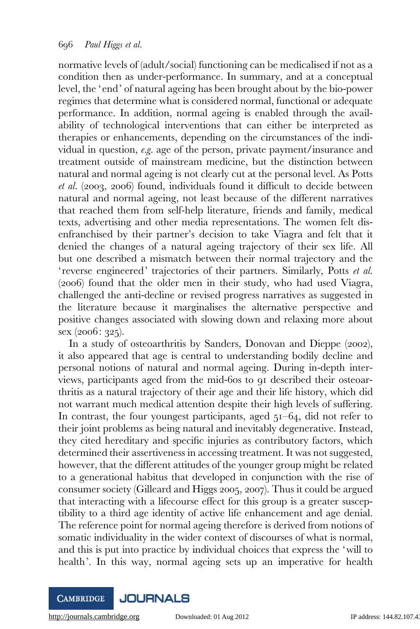normative levels of (adult/social) functioning can be medicalised if not as a condition then as under-performance. In summary, and at a conceptual level, the 'end' of natural ageing has been brought about by the bio-power regimes that determine what is considered normal, functional or adequate performance. In addition, normal ageing is enabled through the availability of technological interventions that can either be interpreted as therapies or enhancements, depending on the circumstances of the individual in question, e.g. age of the person, private payment/insurance and treatment outside of mainstream medicine, but the distinction between natural and normal ageing is not clearly cut at the personal level. As Potts et al. (2003, 2006) found, individuals found it difficult to decide between natural and normal ageing, not least because of the different narratives that reached them from self-help literature, friends and family, medical texts, advertising and other media representations. The women felt disenfranchised by their partner's decision to take Viagra and felt that it denied the changes of a natural ageing trajectory of their sex life. All but one described a mismatch between their normal trajectory and the ' reverse engineered' trajectories of their partners. Similarly, Potts et al. (2006) found that the older men in their study, who had used Viagra, challenged the anti-decline or revised progress narratives as suggested in the literature because it marginalises the alternative perspective and positive changes associated with slowing down and relaxing more about sex (2006: 325).

In a study of osteoarthritis by Sanders, Donovan and Dieppe (2002), it also appeared that age is central to understanding bodily decline and personal notions of natural and normal ageing. During in-depth interviews, participants aged from the mid-60s to 91 described their osteoarthritis as a natural trajectory of their age and their life history, which did not warrant much medical attention despite their high levels of suffering. In contrast, the four youngest participants, aged  $5I-64$ , did not refer to their joint problems as being natural and inevitably degenerative. Instead, they cited hereditary and specific injuries as contributory factors, which determined their assertiveness in accessing treatment. It was not suggested, however, that the different attitudes of the younger group might be related to a generational habitus that developed in conjunction with the rise of consumer society (Gilleard and Higgs 2005, 2007). Thus it could be argued that interacting with a lifecourse effect for this group is a greater susceptibility to a third age identity of active life enhancement and age denial. The reference point for normal ageing therefore is derived from notions of somatic individuality in the wider context of discourses of what is normal, and this is put into practice by individual choices that express the 'will to health'. In this way, normal ageing sets up an imperative for health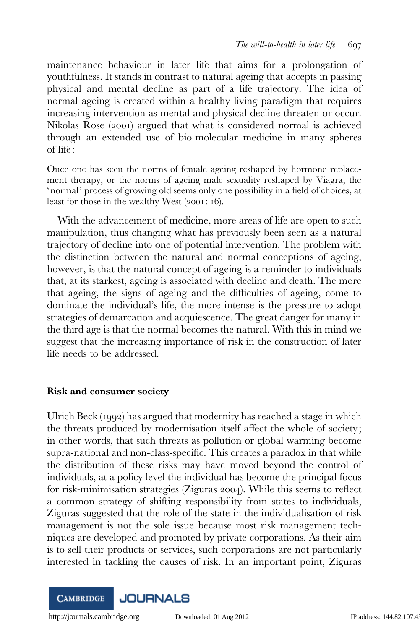maintenance behaviour in later life that aims for a prolongation of youthfulness. It stands in contrast to natural ageing that accepts in passing physical and mental decline as part of a life trajectory. The idea of normal ageing is created within a healthy living paradigm that requires increasing intervention as mental and physical decline threaten or occur. Nikolas Rose (2001) argued that what is considered normal is achieved through an extended use of bio-molecular medicine in many spheres  $of$  life:

Once one has seen the norms of female ageing reshaped by hormone replacement therapy, or the norms of ageing male sexuality reshaped by Viagra, the 'normal' process of growing old seems only one possibility in a field of choices, at least for those in the wealthy West (2001: 16).

With the advancement of medicine, more areas of life are open to such manipulation, thus changing what has previously been seen as a natural trajectory of decline into one of potential intervention. The problem with the distinction between the natural and normal conceptions of ageing, however, is that the natural concept of ageing is a reminder to individuals that, at its starkest, ageing is associated with decline and death. The more that ageing, the signs of ageing and the difficulties of ageing, come to dominate the individual's life, the more intense is the pressure to adopt strategies of demarcation and acquiescence. The great danger for many in the third age is that the normal becomes the natural. With this in mind we suggest that the increasing importance of risk in the construction of later life needs to be addressed.

### Risk and consumer society

Ulrich Beck (1992) has argued that modernity has reached a stage in which the threats produced by modernisation itself affect the whole of society; in other words, that such threats as pollution or global warming become supra-national and non-class-specific. This creates a paradox in that while the distribution of these risks may have moved beyond the control of individuals, at a policy level the individual has become the principal focus for risk-minimisation strategies (Ziguras 2004). While this seems to reflect a common strategy of shifting responsibility from states to individuals, Ziguras suggested that the role of the state in the individualisation of risk management is not the sole issue because most risk management techniques are developed and promoted by private corporations. As their aim is to sell their products or services, such corporations are not particularly interested in tackling the causes of risk. In an important point, Ziguras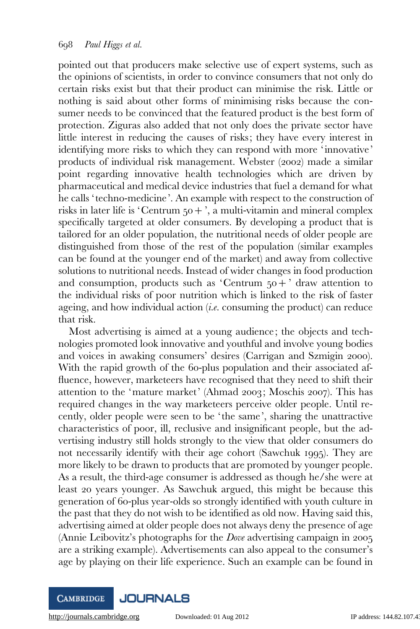pointed out that producers make selective use of expert systems, such as the opinions of scientists, in order to convince consumers that not only do certain risks exist but that their product can minimise the risk. Little or nothing is said about other forms of minimising risks because the consumer needs to be convinced that the featured product is the best form of protection. Ziguras also added that not only does the private sector have little interest in reducing the causes of risks; they have every interest in identifying more risks to which they can respond with more 'innovative' products of individual risk management. Webster (2002) made a similar point regarding innovative health technologies which are driven by pharmaceutical and medical device industries that fuel a demand for what he calls 'techno-medicine'. An example with respect to the construction of risks in later life is 'Centrum  $50 + '$ , a multi-vitamin and mineral complex specifically targeted at older consumers. By developing a product that is tailored for an older population, the nutritional needs of older people are distinguished from those of the rest of the population (similar examples can be found at the younger end of the market) and away from collective solutions to nutritional needs. Instead of wider changes in food production and consumption, products such as 'Centrum  $50+$ ' draw attention to the individual risks of poor nutrition which is linked to the risk of faster ageing, and how individual action  $(i.e.$  consuming the product) can reduce that risk.

Most advertising is aimed at a young audience; the objects and technologies promoted look innovative and youthful and involve young bodies and voices in awaking consumers' desires (Carrigan and Szmigin 2000). With the rapid growth of the 60-plus population and their associated affluence, however, marketeers have recognised that they need to shift their attention to the 'mature market' (Ahmad 2003; Moschis 2007). This has required changes in the way marketeers perceive older people. Until recently, older people were seen to be 'the same', sharing the unattractive characteristics of poor, ill, reclusive and insignificant people, but the advertising industry still holds strongly to the view that older consumers do not necessarily identify with their age cohort (Sawchuk 1995). They are more likely to be drawn to products that are promoted by younger people. As a result, the third-age consumer is addressed as though he/she were at least 20 years younger. As Sawchuk argued, this might be because this generation of 60-plus year-olds so strongly identified with youth culture in the past that they do not wish to be identified as old now. Having said this, advertising aimed at older people does not always deny the presence of age (Annie Leibovitz's photographs for the Dove advertising campaign in 2005 are a striking example). Advertisements can also appeal to the consumer's age by playing on their life experience. Such an example can be found in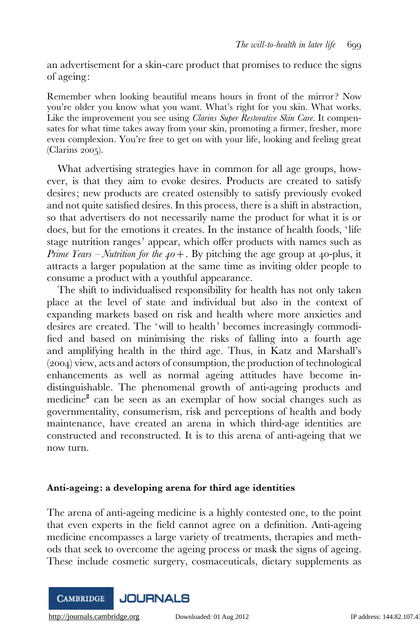an advertisement for a skin-care product that promises to reduce the signs of ageing:

Remember when looking beautiful means hours in front of the mirror ? Now you're older you know what you want. What's right for you skin. What works. Like the improvement you see using Clarins Super Restorative Skin Care. It compensates for what time takes away from your skin, promoting a firmer, fresher, more even complexion. You're free to get on with your life, looking and feeling great (Clarins 2005).

What advertising strategies have in common for all age groups, however, is that they aim to evoke desires. Products are created to satisfy desires; new products are created ostensibly to satisfy previously evoked and not quite satisfied desires. In this process, there is a shift in abstraction, so that advertisers do not necessarily name the product for what it is or does, but for the emotions it creates. In the instance of health foods, 'life stage nutrition ranges' appear, which offer products with names such as *Prime Years – Nutrition for the 40* +. By pitching the age group at 40-plus, it attracts a larger population at the same time as inviting older people to consume a product with a youthful appearance.

The shift to individualised responsibility for health has not only taken place at the level of state and individual but also in the context of expanding markets based on risk and health where more anxieties and desires are created. The 'will to health' becomes increasingly commodified and based on minimising the risks of falling into a fourth age and amplifying health in the third age. Thus, in Katz and Marshall's (2004) view, acts and actors of consumption, the production of technological enhancements as well as normal ageing attitudes have become indistinguishable. The phenomenal growth of anti-ageing products and medicine<sup>2</sup> can be seen as an exemplar of how social changes such as governmentality, consumerism, risk and perceptions of health and body maintenance, have created an arena in which third-age identities are constructed and reconstructed. It is to this arena of anti-ageing that we now turn.

### Anti-ageing: a developing arena for third age identities

The arena of anti-ageing medicine is a highly contested one, to the point that even experts in the field cannot agree on a definition. Anti-ageing medicine encompasses a large variety of treatments, therapies and methods that seek to overcome the ageing process or mask the signs of ageing. These include cosmetic surgery, cosmaceuticals, dietary supplements as

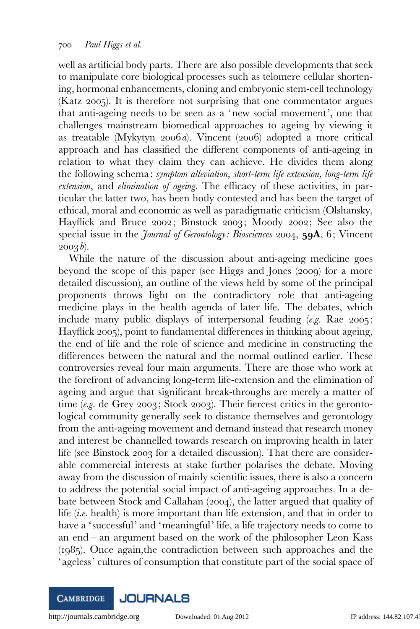well as artificial body parts. There are also possible developments that seek to manipulate core biological processes such as telomere cellular shortening, hormonal enhancements, cloning and embryonic stem-cell technology (Katz 2005). It is therefore not surprising that one commentator argues that anti-ageing needs to be seen as a 'new social movement', one that challenges mainstream biomedical approaches to ageing by viewing it as treatable (Mykytyn  $2006a$ ). Vincent (2006) adopted a more critical approach and has classified the different components of anti-ageing in relation to what they claim they can achieve. He divides them along the following schema: symptom alleviation, short-term life extension, long-term life extension, and elimination of ageing. The efficacy of these activities, in particular the latter two, has been hotly contested and has been the target of ethical, moral and economic as well as paradigmatic criticism (Olshansky, Hayflick and Bruce 2002; Binstock 2003; Moody 2002; See also the special issue in the *Journal of Gerontology: Biosciences* 2004,  $59A, 6$ ; Vincent  $2003b$ ).

While the nature of the discussion about anti-ageing medicine goes beyond the scope of this paper (see Higgs and Jones (2009) for a more detailed discussion), an outline of the views held by some of the principal proponents throws light on the contradictory role that anti-ageing medicine plays in the health agenda of later life. The debates, which include many public displays of interpersonal feuding  $(e.g., Rae 2005;$ Hayflick 2005), point to fundamental differences in thinking about ageing, the end of life and the role of science and medicine in constructing the differences between the natural and the normal outlined earlier. These controversies reveal four main arguments. There are those who work at the forefront of advancing long-term life-extension and the elimination of ageing and argue that significant break-throughs are merely a matter of time (e.g. de Grey 2003; Stock 2003). Their fiercest critics in the gerontological community generally seek to distance themselves and gerontology from the anti-ageing movement and demand instead that research money and interest be channelled towards research on improving health in later life (see Binstock 2003 for a detailed discussion). That there are considerable commercial interests at stake further polarises the debate. Moving away from the discussion of mainly scientific issues, there is also a concern to address the potential social impact of anti-ageing approaches. In a debate between Stock and Callahan (2004), the latter argued that quality of life (i.e. health) is more important than life extension, and that in order to have a ' successful' and 'meaningful' life, a life trajectory needs to come to an end – an argument based on the work of the philosopher Leon Kass (1985). Once again,the contradiction between such approaches and the 'ageless' cultures of consumption that constitute part of the social space of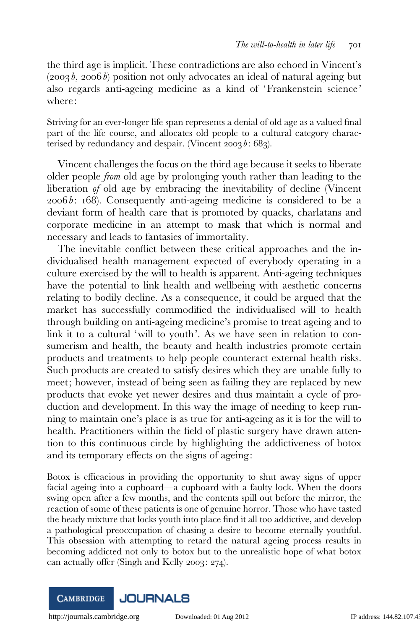the third age is implicit. These contradictions are also echoed in Vincent's  $(2003b, 2006b)$  position not only advocates an ideal of natural ageing but also regards anti-ageing medicine as a kind of 'Frankenstein science' where:

Striving for an ever-longer life span represents a denial of old age as a valued final part of the life course, and allocates old people to a cultural category characterised by redundancy and despair. (Vincent  $2003b$ : 683).

Vincent challenges the focus on the third age because it seeks to liberate older people from old age by prolonging youth rather than leading to the liberation of old age by embracing the inevitability of decline (Vincent  $2006b$ : 168). Consequently anti-ageing medicine is considered to be a deviant form of health care that is promoted by quacks, charlatans and corporate medicine in an attempt to mask that which is normal and necessary and leads to fantasies of immortality.

The inevitable conflict between these critical approaches and the individualised health management expected of everybody operating in a culture exercised by the will to health is apparent. Anti-ageing techniques have the potential to link health and wellbeing with aesthetic concerns relating to bodily decline. As a consequence, it could be argued that the market has successfully commodified the individualised will to health through building on anti-ageing medicine's promise to treat ageing and to link it to a cultural 'will to youth'. As we have seen in relation to consumerism and health, the beauty and health industries promote certain products and treatments to help people counteract external health risks. Such products are created to satisfy desires which they are unable fully to meet; however, instead of being seen as failing they are replaced by new products that evoke yet newer desires and thus maintain a cycle of production and development. In this way the image of needing to keep running to maintain one's place is as true for anti-ageing as it is for the will to health. Practitioners within the field of plastic surgery have drawn attention to this continuous circle by highlighting the addictiveness of botox and its temporary effects on the signs of ageing:

Botox is efficacious in providing the opportunity to shut away signs of upper facial ageing into a cupboard—a cupboard with a faulty lock. When the doors swing open after a few months, and the contents spill out before the mirror, the reaction of some of these patients is one of genuine horror. Those who have tasted the heady mixture that locks youth into place find it all too addictive, and develop a pathological preoccupation of chasing a desire to become eternally youthful. This obsession with attempting to retard the natural ageing process results in becoming addicted not only to botox but to the unrealistic hope of what botox can actually offer (Singh and Kelly 2003: 274).

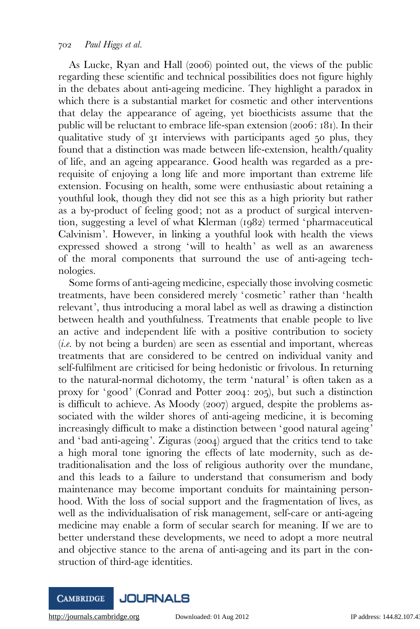### 702 Paul Higgs et al.

As Lucke, Ryan and Hall (2006) pointed out, the views of the public regarding these scientific and technical possibilities does not figure highly in the debates about anti-ageing medicine. They highlight a paradox in which there is a substantial market for cosmetic and other interventions that delay the appearance of ageing, yet bioethicists assume that the public will be reluctant to embrace life-span extension (2006: 181). In their qualitative study of 31 interviews with participants aged 50 plus, they found that a distinction was made between life-extension, health/quality of life, and an ageing appearance. Good health was regarded as a prerequisite of enjoying a long life and more important than extreme life extension. Focusing on health, some were enthusiastic about retaining a youthful look, though they did not see this as a high priority but rather as a by-product of feeling good; not as a product of surgical intervention, suggesting a level of what Klerman (1982) termed 'pharmaceutical Calvinism'. However, in linking a youthful look with health the views expressed showed a strong 'will to health' as well as an awareness of the moral components that surround the use of anti-ageing technologies.

Some forms of anti-ageing medicine, especially those involving cosmetic treatments, have been considered merely 'cosmetic' rather than 'health relevant', thus introducing a moral label as well as drawing a distinction between health and youthfulness. Treatments that enable people to live an active and independent life with a positive contribution to society (i.e. by not being a burden) are seen as essential and important, whereas treatments that are considered to be centred on individual vanity and self-fulfilment are criticised for being hedonistic or frivolous. In returning to the natural-normal dichotomy, the term 'natural' is often taken as a proxy for 'good' (Conrad and Potter 2004: 205), but such a distinction is difficult to achieve. As Moody (2007) argued, despite the problems associated with the wilder shores of anti-ageing medicine, it is becoming increasingly difficult to make a distinction between 'good natural ageing' and 'bad anti-ageing'. Ziguras (2004) argued that the critics tend to take a high moral tone ignoring the effects of late modernity, such as detraditionalisation and the loss of religious authority over the mundane, and this leads to a failure to understand that consumerism and body maintenance may become important conduits for maintaining personhood. With the loss of social support and the fragmentation of lives, as well as the individualisation of risk management, self-care or anti-ageing medicine may enable a form of secular search for meaning. If we are to better understand these developments, we need to adopt a more neutral and objective stance to the arena of anti-ageing and its part in the construction of third-age identities.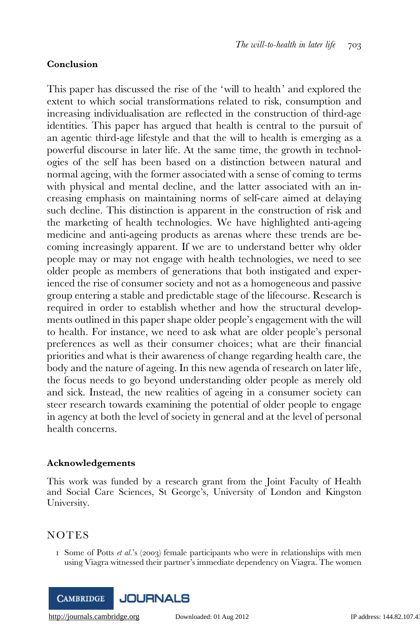### Conclusion

This paper has discussed the rise of the 'will to health' and explored the extent to which social transformations related to risk, consumption and increasing individualisation are reflected in the construction of third-age identities. This paper has argued that health is central to the pursuit of an agentic third-age lifestyle and that the will to health is emerging as a powerful discourse in later life. At the same time, the growth in technologies of the self has been based on a distinction between natural and normal ageing, with the former associated with a sense of coming to terms with physical and mental decline, and the latter associated with an increasing emphasis on maintaining norms of self-care aimed at delaying such decline. This distinction is apparent in the construction of risk and the marketing of health technologies. We have highlighted anti-ageing medicine and anti-ageing products as arenas where these trends are becoming increasingly apparent. If we are to understand better why older people may or may not engage with health technologies, we need to see older people as members of generations that both instigated and experienced the rise of consumer society and not as a homogeneous and passive group entering a stable and predictable stage of the lifecourse. Research is required in order to establish whether and how the structural developments outlined in this paper shape older people's engagement with the will to health. For instance, we need to ask what are older people's personal preferences as well as their consumer choices; what are their financial priorities and what is their awareness of change regarding health care, the body and the nature of ageing. In this new agenda of research on later life, the focus needs to go beyond understanding older people as merely old and sick. Instead, the new realities of ageing in a consumer society can steer research towards examining the potential of older people to engage in agency at both the level of society in general and at the level of personal health concerns.

### Acknowledgements

This work was funded by a research grant from the Joint Faculty of Health and Social Care Sciences, St George's, University of London and Kingston University.

# **NOTES**

1 Some of Potts et al.'s (2003) female participants who were in relationships with men using Viagra witnessed their partner's immediate dependency on Viagra. The women

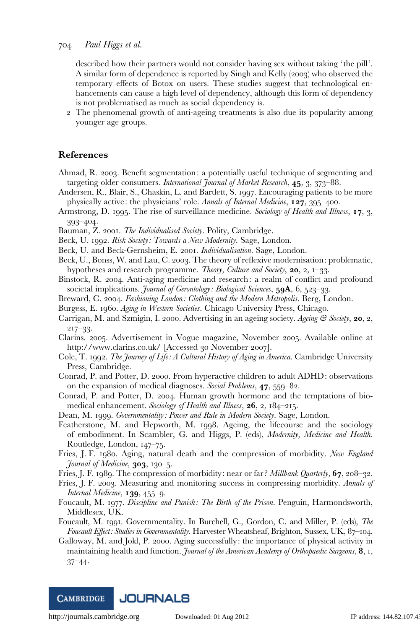### 704 Paul Higgs et al.

described how their partners would not consider having sex without taking 'the pill'. A similar form of dependence is reported by Singh and Kelly (2003) who observed the temporary effects of Botox on users. These studies suggest that technological enhancements can cause a high level of dependency, although this form of dependency is not problematised as much as social dependency is.

2 The phenomenal growth of anti-ageing treatments is also due its popularity among younger age groups.

### References

- Ahmad, R. 2003. Benefit segmentation: a potentially useful technique of segmenting and targeting older consumers. International Journal of Market Research, 45, 3, 373–88.
- Andersen, R., Blair, S., Chaskin, L. and Bartlett, S. 1997. Encouraging patients to be more physically active: the physicians' role. Annals of Internal Medicine, 127, 395–400.
- Armstrong, D. 1995. The rise of surveillance medicine. Sociology of Health and Illness, 17, 3, 393–404.
- Bauman, Z. 2001. The Individualised Society. Polity, Cambridge.
- Beck, U. 1992. Risk Society: Towards a New Modernity. Sage, London.
- Beck, U. and Beck-Gernsheim, E. 2001. Individualisation. Sage, London.
- Beck, U., Bonss, W. and Lau, C. 2003. The theory of reflexive modernisation: problematic, hypotheses and research programme. Theory, Culture and Society, **20**, 2,  $1-\frac{33}{5}$ .
- Binstock, R. 2004. Anti-aging medicine and research: a realm of conflict and profound societal implications. *Journal of Gerontology: Biological Sciences*,  $59A$ , 6,  $523-33$ .
- Breward, C. 2004. Fashioning London: Clothing and the Modern Metropolis. Berg, London.
- Burgess, E. 1960. Aging in Western Societies. Chicago University Press, Chicago.
- Carrigan, M. and Szmigin, I. 2000. Advertising in an ageing society. Ageing  $\mathcal{C}$  Society, 20, 2, 217–33.
- Clarins. 2005. Advertisement in Vogue magazine, November 2005. Available online at http://www.clarins.co.uk/ [Accessed 30 November 2007].
- Cole, T. 1992. The Journey of Life: A Cultural History of Aging in America. Cambridge University Press, Cambridge.
- Conrad, P. and Potter, D. 2000. From hyperactive children to adult ADHD: observations on the expansion of medical diagnoses. Social Problems, 47, 559–82.
- Conrad, P. and Potter, D. 2004. Human growth hormone and the temptations of biomedical enhancement. Sociology of Health and Illness, 26, 2, 184-215.
- Dean, M. 1999. Governmentality: Power and Rule in Modern Society. Sage, London.
- Featherstone, M. and Hepworth, M. 1998. Ageing, the lifecourse and the sociology of embodiment. In Scambler, G. and Higgs, P. (eds), Modernity, Medicine and Health. Routledge, London, 147–75.
- Fries, J. F. 1980. Aging, natural death and the compression of morbidity. New England Journal of Medicine,  $303$ ,  $130-5$ .
- Fries, J. F. 1989. The compression of morbidity: near or far? Millbank Quarterly,  $67$ , 208–32.
- Fries, J. F. 2003. Measuring and monitoring success in compressing morbidity. Annals of Internal Medicine, 139, 455-9.
- Foucault, M. 1977. Discipline and Punish: The Birth of the Prison. Penguin, Harmondsworth, Middlesex, UK.
- Foucault, M. 1991. Governmentality. In Burchell, G., Gordon, C. and Miller, P. (eds), The Foucault Effect: Studies in Governmentality. Harvester Wheatsheaf, Brighton, Sussex, UK, 87–104.
- Galloway, M. and Jokl, P. 2000. Aging successfully: the importance of physical activity in maintaining health and function. *Journal of the American Academy of Orthopaedic Surgeons*,  $\mathbf{8}, \mathbf{1},$ 37–44.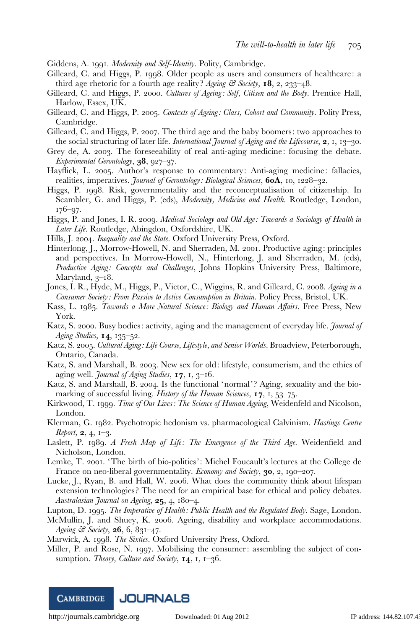Giddens, A. 1991. Modernity and Self-Identity. Polity, Cambridge.

- Gilleard, C. and Higgs, P. 1998. Older people as users and consumers of healthcare: a third age rhetoric for a fourth age reality? Ageing  $\mathcal{C}$  Society, **18**, 2, 233–48.
- Gilleard, C. and Higgs, P. 2000. Cultures of Ageing: Self, Citisen and the Body. Prentice Hall, Harlow, Essex, UK.
- Gilleard, C. and Higgs, P. 2005. Contexts of Ageing: Class, Cohort and Community. Polity Press, Cambridge.
- Gilleard, C. and Higgs, P. 2007. The third age and the baby boomers: two approaches to the social structuring of later life. International Journal of Aging and the Lifecourse, 2, 1, 13-30.
- Grey de, A. 2003. The foreseeability of real anti-aging medicine: focusing the debate. Experimental Gerontology,  $38, 927-37$ .
- Hayflick, L. 2005. Author's response to commentary: Anti-aging medicine: fallacies, realities, imperatives. Journal of Gerontology: Biological Sciences, 60A, 10, 1228-32.
- Higgs, P. 1998. Risk, governmentality and the reconceptualisation of citizenship. In Scambler, G. and Higgs, P. (eds), Modernity, Medicine and Health. Routledge, London, 176–97.
- Higgs, P. and Jones, I. R. 2009. Medical Sociology and Old Age: Towards a Sociology of Health in Later Life. Routledge, Abingdon, Oxfordshire, UK.
- Hills, J. 2004. Inequality and the State. Oxford University Press, Oxford.
- Hinterlong, J., Morrow-Howell, N. and Sherraden, M. 2001. Productive aging: principles and perspectives. In Morrow-Howell, N., Hinterlong, J. and Sherraden, M. (eds), Productive Aging: Concepts and Challenges, Johns Hopkins University Press, Baltimore, Maryland,  $3-18$ .
- Jones, I. R., Hyde, M., Higgs, P., Victor, C., Wiggins, R. and Gilleard, C. 2008. Ageing in a Consumer Society: From Passive to Active Consumption in Britain. Policy Press, Bristol, UK.
- Kass, L. 1985. Towards a More Natural Science: Biology and Human Affairs. Free Press, New York.
- Katz, S. 2000. Busy bodies: activity, aging and the management of everyday life. *Journal of* Aging Studies, **14**, 135–52.
- Katz, S. 2005. Cultural Aging: Life Course, Lifestyle, and Senior Worlds. Broadview, Peterborough, Ontario, Canada.
- Katz, S. and Marshall, B. 2003. New sex for old: lifestyle, consumerism, and the ethics of aging well. *Journal of Aging Studies*,  $17$ ,  $1$ ,  $3-16$ .
- Katz, S. and Marshall, B. 2004. Is the functional 'normal'? Aging, sexuality and the biomarking of successful living. History of the Human Sciences, 17, 1, 53–75.
- Kirkwood, T. 1999. Time of Our Lives: The Science of Human Ageing, Weidenfeld and Nicolson, London.
- Klerman, G. 1982. Psychotropic hedonism vs. pharmacological Calvinism. Hastings Centre *Report*, **2**, 4,  $I=3$ .
- Laslett, P. 1989. A Fresh Map of Life: The Emergence of the Third Age. Weidenfield and Nicholson, London.
- Lemke, T. 2001. 'The birth of bio-politics': Michel Foucault's lectures at the College de France on neo-liberal governmentality. *Economy and Society*, **30**, 2, 190–207.
- Lucke, J., Ryan, B. and Hall, W. 2006. What does the community think about lifespan extension technologies ? The need for an empirical base for ethical and policy debates. Australasian Journal on Ageing, 25, 4, 180–4.
- Lupton, D. 1995. The Imperative of Health: Public Health and the Regulated Body. Sage, London.
- McMullin, J. and Shuey, K. 2006. Ageing, disability and workplace accommodations. Ageing  $\mathcal{C}$  Society, **26**, 6, 831–47.

Marwick, A. 1998. The Sixties. Oxford University Press, Oxford.

Miller, P. and Rose, N. 1997. Mobilising the consumer: assembling the subject of consumption. Theory, Culture and Society,  $14$ ,  $1, 1–36$ .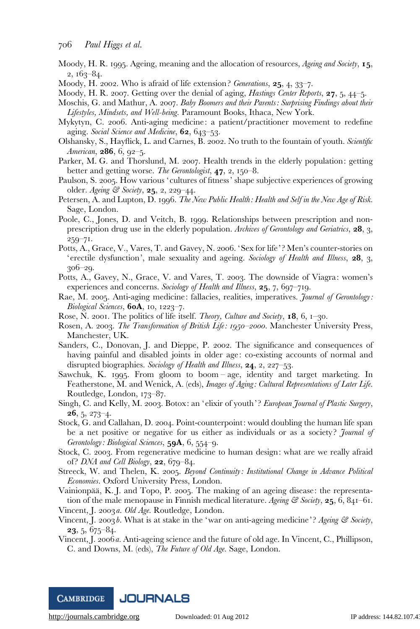- Moody, H. R. 1995. Ageing, meaning and the allocation of resources, Ageing and Society, 15, 2, 163–84.
- Moody, H. 2002. Who is afraid of life extension? Generations, 25, 4, 33-7.
- Moody, H. R. 2007. Getting over the denial of aging, *Hastings Center Reports*, 27, 5, 44–5.
- Moschis, G. and Mathur, A. 2007. Baby Boomers and their Parents: Surprising Findings about their Lifestyles, Mindsets, and Well-being. Paramount Books, Ithaca, New York.
- Mykytyn, C. 2006. Anti-aging medicine: a patient/practitioner movement to redefine aging. Social Science and Medicine, 62, 643–53.
- Olshansky, S., Hayflick, L. and Carnes, B. 2002. No truth to the fountain of youth. Scientific American, **286**, 6, 92-5.
- Parker, M. G. and Thorslund, M. 2007. Health trends in the elderly population: getting better and getting worse. The Gerontologist, 47, 2, 150–8.
- Paulson, S. 2005. How various 'cultures of fitness' shape subjective experiences of growing older. Ageing & Society, 25, 2, 229–44.
- Petersen, A. and Lupton, D. 1996. The New Public Health: Health and Self in the New Age of Risk. Sage, London.
- Poole, C., Jones, D. and Veitch, B. 1999. Relationships between prescription and nonprescription drug use in the elderly population. Archives of Gerontology and Geriatrics, 28, 3, 259–71.
- Potts, A., Grace, V., Vares, T. and Gavey, N. 2006. 'Sex for life' ? Men's counter-stories on 'erectile dysfunction', male sexuality and ageing. Sociology of Health and Illness, 28, 3, 306–29.
- Potts, A., Gavey, N., Grace, V. and Vares, T. 2003. The downside of Viagra: women's experiences and concerns. Sociology of Health and Illness, 25, 7, 697–719.
- Rae, M. 2005. Anti-aging medicine: fallacies, realities, imperatives. Journal of Gerontology: Biological Sciences,  $60A$ , 10, 1223-7.
- Rose, N. 2001. The politics of life itself. *Theory, Culture and Society*, **18**, 6,  $1-\gamma$ o.
- Rosen, A. 2003. The Transformation of British Life: 1950–2000. Manchester University Press, Manchester, UK.
- Sanders, C., Donovan, J. and Dieppe, P. 2002. The significance and consequences of having painful and disabled joints in older age: co-existing accounts of normal and disrupted biographies. Sociology of Health and Illness, 24, 2, 227-53.
- Sawchuk, K. 1995. From gloom to boom age, identity and target marketing. In Featherstone, M. and Wenick, A. (eds), *Images of Aging: Cultural Representations of Later Life.* Routledge, London, 173–87.
- Singh, C. and Kelly, M. 2003. Botox: an 'elixir of youth'? *European Journal of Plastic Surgery*,  $26, 5, 273-4.$
- Stock, G. and Callahan, D. 2004. Point-counterpoint: would doubling the human life span be a net positive or negative for us either as individuals or as a society? *Journal of* Gerontology: Biological Sciences,  $59A, 6, 554-9$ .
- Stock, C. 2003. From regenerative medicine to human design: what are we really afraid of? DNA and Cell Biology,  $22, 679-84$ .
- Streeck, W. and Thelen, K. 2005. Beyond Continuity: Institutional Change in Advance Political Economies. Oxford University Press, London.
- Vainionpää, K. J. and Topo, P. 2005. The making of an ageing disease: the representation of the male menopause in Finnish medical literature. Ageing  $\mathcal G$  Society, 25, 6, 841–61.
- Vincent, J. 2003a. Old Age. Routledge, London.
- Vincent, J. 2003b. What is at stake in the 'war on anti-ageing medicine'? Ageing  $\mathcal C$  Society,  $23, 5, 675 - 84.$
- Vincent, J. 2006a. Anti-ageing science and the future of old age. In Vincent, C., Phillipson, C. and Downs, M. (eds), The Future of Old Age. Sage, London.